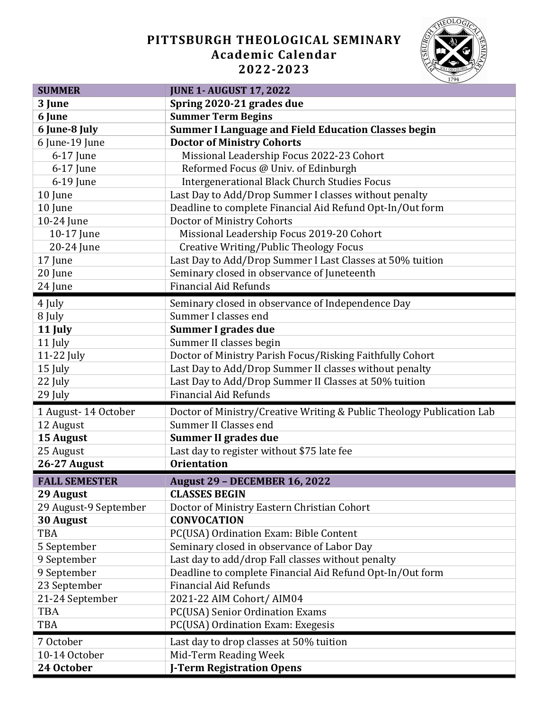## **PITTSBURGH THEOLOGICAL SEMINARY Academic Calendar 2022-2023**



| <b>SUMMER</b>         | <b>JUNE 1- AUGUST 17, 2022</b>                                        |
|-----------------------|-----------------------------------------------------------------------|
| 3 June                | Spring 2020-21 grades due                                             |
| 6 June                | <b>Summer Term Begins</b>                                             |
| 6 June-8 July         | <b>Summer I Language and Field Education Classes begin</b>            |
| 6 June-19 June        | <b>Doctor of Ministry Cohorts</b>                                     |
| 6-17 June             | Missional Leadership Focus 2022-23 Cohort                             |
| 6-17 June             | Reformed Focus @ Univ. of Edinburgh                                   |
| 6-19 June             | <b>Intergenerational Black Church Studies Focus</b>                   |
| 10 June               | Last Day to Add/Drop Summer I classes without penalty                 |
| 10 June               | Deadline to complete Financial Aid Refund Opt-In/Out form             |
| 10-24 June            | Doctor of Ministry Cohorts                                            |
| 10-17 June            | Missional Leadership Focus 2019-20 Cohort                             |
| 20-24 June            | <b>Creative Writing/Public Theology Focus</b>                         |
| 17 June               | Last Day to Add/Drop Summer I Last Classes at 50% tuition             |
| 20 June               | Seminary closed in observance of Juneteenth                           |
| 24 June               | <b>Financial Aid Refunds</b>                                          |
| 4 July                | Seminary closed in observance of Independence Day                     |
| 8 July                | Summer I classes end                                                  |
| 11 July               | Summer I grades due                                                   |
| 11 July               | Summer II classes begin                                               |
| 11-22 July            | Doctor of Ministry Parish Focus/Risking Faithfully Cohort             |
| 15 July               | Last Day to Add/Drop Summer II classes without penalty                |
| 22 July               | Last Day to Add/Drop Summer II Classes at 50% tuition                 |
| 29 July               | <b>Financial Aid Refunds</b>                                          |
| 1 August-14 October   | Doctor of Ministry/Creative Writing & Public Theology Publication Lab |
| 12 August             | Summer II Classes end                                                 |
| 15 August             | <b>Summer II grades due</b>                                           |
| 25 August             | Last day to register without \$75 late fee                            |
| 26-27 August          | <b>Orientation</b>                                                    |
| <b>FALL SEMESTER</b>  | <b>August 29 - DECEMBER 16, 2022</b>                                  |
| 29 August             | <b>CLASSES BEGIN</b>                                                  |
| 29 August-9 September | Doctor of Ministry Eastern Christian Cohort                           |
| 30 August             | <b>CONVOCATION</b>                                                    |
| <b>TBA</b>            | PC(USA) Ordination Exam: Bible Content                                |
| 5 September           | Seminary closed in observance of Labor Day                            |
| 9 September           | Last day to add/drop Fall classes without penalty                     |
| 9 September           | Deadline to complete Financial Aid Refund Opt-In/Out form             |
| 23 September          | <b>Financial Aid Refunds</b>                                          |
| 21-24 September       | 2021-22 AIM Cohort/ AIM04                                             |
| <b>TBA</b>            | PC(USA) Senior Ordination Exams                                       |
| <b>TBA</b>            | PC(USA) Ordination Exam: Exegesis                                     |
| 7 October             | Last day to drop classes at 50% tuition                               |
| 10-14 October         | Mid-Term Reading Week                                                 |
| 24 October            | <b>J-Term Registration Opens</b>                                      |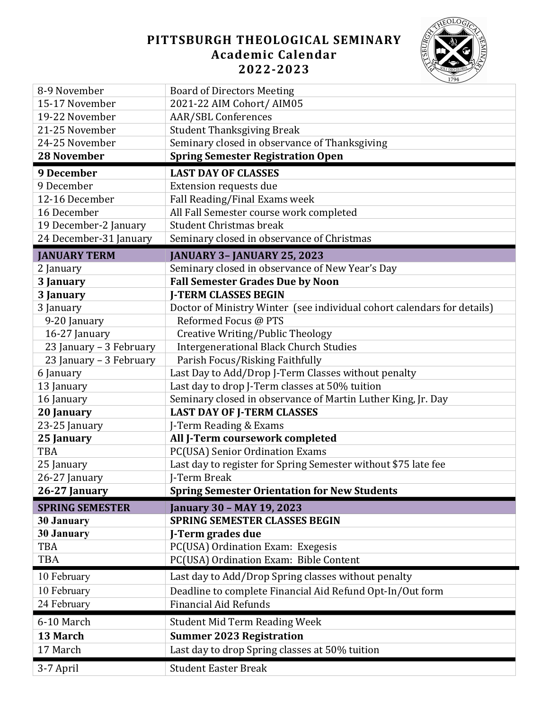## **PITTSBURGH THEOLOGICAL SEMINARY Academic Calendar 2022-2023**



| 15-17 November<br>2021-22 AIM Cohort/ AIM05<br>19-22 November<br><b>AAR/SBL Conferences</b><br><b>Student Thanksgiving Break</b><br>21-25 November<br>24-25 November<br>Seminary closed in observance of Thanksgiving<br><b>Spring Semester Registration Open</b><br><b>28 November</b><br>9 December<br><b>LAST DAY OF CLASSES</b><br>9 December<br>Extension requests due<br>Fall Reading/Final Exams week<br>12-16 December<br>All Fall Semester course work completed<br>16 December<br><b>Student Christmas break</b><br>19 December-2 January<br>24 December-31 January<br>Seminary closed in observance of Christmas<br><b>JANUARY TERM</b><br><b>JANUARY 3- JANUARY 25, 2023</b><br>Seminary closed in observance of New Year's Day<br>2 January<br><b>Fall Semester Grades Due by Noon</b><br>3 January<br>3 January<br><b>J-TERM CLASSES BEGIN</b><br>3 January<br>Doctor of Ministry Winter (see individual cohort calendars for details)<br>Reformed Focus @ PTS<br>9-20 January<br>16-27 January<br><b>Creative Writing/Public Theology</b><br><b>Intergenerational Black Church Studies</b><br>23 January - 3 February<br>23 January - 3 February<br>Parish Focus/Risking Faithfully<br>Last Day to Add/Drop J-Term Classes without penalty<br>6 January<br>Last day to drop J-Term classes at 50% tuition<br>13 January<br>16 January<br>Seminary closed in observance of Martin Luther King, Jr. Day<br><b>LAST DAY OF J-TERM CLASSES</b><br>20 January<br>23-25 January<br>J-Term Reading & Exams<br>All J-Term coursework completed<br>25 January<br>PC(USA) Senior Ordination Exams<br><b>TBA</b><br>Last day to register for Spring Semester without \$75 late fee<br>25 January<br>J-Term Break<br>26-27 January<br>26-27 January<br><b>Spring Semester Orientation for New Students</b><br><b>January 30 - MAY 19, 2023</b><br><b>SPRING SEMESTER</b><br>SPRING SEMESTER CLASSES BEGIN<br><b>30 January</b><br><b>30 January</b><br>J-Term grades due<br><b>TBA</b><br>PC(USA) Ordination Exam: Exegesis<br>PC(USA) Ordination Exam: Bible Content<br><b>TBA</b><br>Last day to Add/Drop Spring classes without penalty<br>10 February<br>Deadline to complete Financial Aid Refund Opt-In/Out form<br>10 February<br>24 February<br><b>Financial Aid Refunds</b><br>6-10 March<br><b>Student Mid Term Reading Week</b><br>13 March<br><b>Summer 2023 Registration</b><br>Last day to drop Spring classes at 50% tuition<br>17 March | 8-9 November | <b>Board of Directors Meeting</b> |
|------------------------------------------------------------------------------------------------------------------------------------------------------------------------------------------------------------------------------------------------------------------------------------------------------------------------------------------------------------------------------------------------------------------------------------------------------------------------------------------------------------------------------------------------------------------------------------------------------------------------------------------------------------------------------------------------------------------------------------------------------------------------------------------------------------------------------------------------------------------------------------------------------------------------------------------------------------------------------------------------------------------------------------------------------------------------------------------------------------------------------------------------------------------------------------------------------------------------------------------------------------------------------------------------------------------------------------------------------------------------------------------------------------------------------------------------------------------------------------------------------------------------------------------------------------------------------------------------------------------------------------------------------------------------------------------------------------------------------------------------------------------------------------------------------------------------------------------------------------------------------------------------------------------------------------------------------------------------------------------------------------------------------------------------------------------------------------------------------------------------------------------------------------------------------------------------------------------------------------------------------------------------------------------------------------------------------------------------------------------------------------------------------------------------------------------------------------|--------------|-----------------------------------|
|                                                                                                                                                                                                                                                                                                                                                                                                                                                                                                                                                                                                                                                                                                                                                                                                                                                                                                                                                                                                                                                                                                                                                                                                                                                                                                                                                                                                                                                                                                                                                                                                                                                                                                                                                                                                                                                                                                                                                                                                                                                                                                                                                                                                                                                                                                                                                                                                                                                            |              |                                   |
|                                                                                                                                                                                                                                                                                                                                                                                                                                                                                                                                                                                                                                                                                                                                                                                                                                                                                                                                                                                                                                                                                                                                                                                                                                                                                                                                                                                                                                                                                                                                                                                                                                                                                                                                                                                                                                                                                                                                                                                                                                                                                                                                                                                                                                                                                                                                                                                                                                                            |              |                                   |
|                                                                                                                                                                                                                                                                                                                                                                                                                                                                                                                                                                                                                                                                                                                                                                                                                                                                                                                                                                                                                                                                                                                                                                                                                                                                                                                                                                                                                                                                                                                                                                                                                                                                                                                                                                                                                                                                                                                                                                                                                                                                                                                                                                                                                                                                                                                                                                                                                                                            |              |                                   |
|                                                                                                                                                                                                                                                                                                                                                                                                                                                                                                                                                                                                                                                                                                                                                                                                                                                                                                                                                                                                                                                                                                                                                                                                                                                                                                                                                                                                                                                                                                                                                                                                                                                                                                                                                                                                                                                                                                                                                                                                                                                                                                                                                                                                                                                                                                                                                                                                                                                            |              |                                   |
|                                                                                                                                                                                                                                                                                                                                                                                                                                                                                                                                                                                                                                                                                                                                                                                                                                                                                                                                                                                                                                                                                                                                                                                                                                                                                                                                                                                                                                                                                                                                                                                                                                                                                                                                                                                                                                                                                                                                                                                                                                                                                                                                                                                                                                                                                                                                                                                                                                                            |              |                                   |
|                                                                                                                                                                                                                                                                                                                                                                                                                                                                                                                                                                                                                                                                                                                                                                                                                                                                                                                                                                                                                                                                                                                                                                                                                                                                                                                                                                                                                                                                                                                                                                                                                                                                                                                                                                                                                                                                                                                                                                                                                                                                                                                                                                                                                                                                                                                                                                                                                                                            |              |                                   |
|                                                                                                                                                                                                                                                                                                                                                                                                                                                                                                                                                                                                                                                                                                                                                                                                                                                                                                                                                                                                                                                                                                                                                                                                                                                                                                                                                                                                                                                                                                                                                                                                                                                                                                                                                                                                                                                                                                                                                                                                                                                                                                                                                                                                                                                                                                                                                                                                                                                            |              |                                   |
|                                                                                                                                                                                                                                                                                                                                                                                                                                                                                                                                                                                                                                                                                                                                                                                                                                                                                                                                                                                                                                                                                                                                                                                                                                                                                                                                                                                                                                                                                                                                                                                                                                                                                                                                                                                                                                                                                                                                                                                                                                                                                                                                                                                                                                                                                                                                                                                                                                                            |              |                                   |
|                                                                                                                                                                                                                                                                                                                                                                                                                                                                                                                                                                                                                                                                                                                                                                                                                                                                                                                                                                                                                                                                                                                                                                                                                                                                                                                                                                                                                                                                                                                                                                                                                                                                                                                                                                                                                                                                                                                                                                                                                                                                                                                                                                                                                                                                                                                                                                                                                                                            |              |                                   |
|                                                                                                                                                                                                                                                                                                                                                                                                                                                                                                                                                                                                                                                                                                                                                                                                                                                                                                                                                                                                                                                                                                                                                                                                                                                                                                                                                                                                                                                                                                                                                                                                                                                                                                                                                                                                                                                                                                                                                                                                                                                                                                                                                                                                                                                                                                                                                                                                                                                            |              |                                   |
|                                                                                                                                                                                                                                                                                                                                                                                                                                                                                                                                                                                                                                                                                                                                                                                                                                                                                                                                                                                                                                                                                                                                                                                                                                                                                                                                                                                                                                                                                                                                                                                                                                                                                                                                                                                                                                                                                                                                                                                                                                                                                                                                                                                                                                                                                                                                                                                                                                                            |              |                                   |
|                                                                                                                                                                                                                                                                                                                                                                                                                                                                                                                                                                                                                                                                                                                                                                                                                                                                                                                                                                                                                                                                                                                                                                                                                                                                                                                                                                                                                                                                                                                                                                                                                                                                                                                                                                                                                                                                                                                                                                                                                                                                                                                                                                                                                                                                                                                                                                                                                                                            |              |                                   |
|                                                                                                                                                                                                                                                                                                                                                                                                                                                                                                                                                                                                                                                                                                                                                                                                                                                                                                                                                                                                                                                                                                                                                                                                                                                                                                                                                                                                                                                                                                                                                                                                                                                                                                                                                                                                                                                                                                                                                                                                                                                                                                                                                                                                                                                                                                                                                                                                                                                            |              |                                   |
|                                                                                                                                                                                                                                                                                                                                                                                                                                                                                                                                                                                                                                                                                                                                                                                                                                                                                                                                                                                                                                                                                                                                                                                                                                                                                                                                                                                                                                                                                                                                                                                                                                                                                                                                                                                                                                                                                                                                                                                                                                                                                                                                                                                                                                                                                                                                                                                                                                                            |              |                                   |
|                                                                                                                                                                                                                                                                                                                                                                                                                                                                                                                                                                                                                                                                                                                                                                                                                                                                                                                                                                                                                                                                                                                                                                                                                                                                                                                                                                                                                                                                                                                                                                                                                                                                                                                                                                                                                                                                                                                                                                                                                                                                                                                                                                                                                                                                                                                                                                                                                                                            |              |                                   |
|                                                                                                                                                                                                                                                                                                                                                                                                                                                                                                                                                                                                                                                                                                                                                                                                                                                                                                                                                                                                                                                                                                                                                                                                                                                                                                                                                                                                                                                                                                                                                                                                                                                                                                                                                                                                                                                                                                                                                                                                                                                                                                                                                                                                                                                                                                                                                                                                                                                            |              |                                   |
|                                                                                                                                                                                                                                                                                                                                                                                                                                                                                                                                                                                                                                                                                                                                                                                                                                                                                                                                                                                                                                                                                                                                                                                                                                                                                                                                                                                                                                                                                                                                                                                                                                                                                                                                                                                                                                                                                                                                                                                                                                                                                                                                                                                                                                                                                                                                                                                                                                                            |              |                                   |
|                                                                                                                                                                                                                                                                                                                                                                                                                                                                                                                                                                                                                                                                                                                                                                                                                                                                                                                                                                                                                                                                                                                                                                                                                                                                                                                                                                                                                                                                                                                                                                                                                                                                                                                                                                                                                                                                                                                                                                                                                                                                                                                                                                                                                                                                                                                                                                                                                                                            |              |                                   |
|                                                                                                                                                                                                                                                                                                                                                                                                                                                                                                                                                                                                                                                                                                                                                                                                                                                                                                                                                                                                                                                                                                                                                                                                                                                                                                                                                                                                                                                                                                                                                                                                                                                                                                                                                                                                                                                                                                                                                                                                                                                                                                                                                                                                                                                                                                                                                                                                                                                            |              |                                   |
|                                                                                                                                                                                                                                                                                                                                                                                                                                                                                                                                                                                                                                                                                                                                                                                                                                                                                                                                                                                                                                                                                                                                                                                                                                                                                                                                                                                                                                                                                                                                                                                                                                                                                                                                                                                                                                                                                                                                                                                                                                                                                                                                                                                                                                                                                                                                                                                                                                                            |              |                                   |
|                                                                                                                                                                                                                                                                                                                                                                                                                                                                                                                                                                                                                                                                                                                                                                                                                                                                                                                                                                                                                                                                                                                                                                                                                                                                                                                                                                                                                                                                                                                                                                                                                                                                                                                                                                                                                                                                                                                                                                                                                                                                                                                                                                                                                                                                                                                                                                                                                                                            |              |                                   |
|                                                                                                                                                                                                                                                                                                                                                                                                                                                                                                                                                                                                                                                                                                                                                                                                                                                                                                                                                                                                                                                                                                                                                                                                                                                                                                                                                                                                                                                                                                                                                                                                                                                                                                                                                                                                                                                                                                                                                                                                                                                                                                                                                                                                                                                                                                                                                                                                                                                            |              |                                   |
|                                                                                                                                                                                                                                                                                                                                                                                                                                                                                                                                                                                                                                                                                                                                                                                                                                                                                                                                                                                                                                                                                                                                                                                                                                                                                                                                                                                                                                                                                                                                                                                                                                                                                                                                                                                                                                                                                                                                                                                                                                                                                                                                                                                                                                                                                                                                                                                                                                                            |              |                                   |
|                                                                                                                                                                                                                                                                                                                                                                                                                                                                                                                                                                                                                                                                                                                                                                                                                                                                                                                                                                                                                                                                                                                                                                                                                                                                                                                                                                                                                                                                                                                                                                                                                                                                                                                                                                                                                                                                                                                                                                                                                                                                                                                                                                                                                                                                                                                                                                                                                                                            |              |                                   |
|                                                                                                                                                                                                                                                                                                                                                                                                                                                                                                                                                                                                                                                                                                                                                                                                                                                                                                                                                                                                                                                                                                                                                                                                                                                                                                                                                                                                                                                                                                                                                                                                                                                                                                                                                                                                                                                                                                                                                                                                                                                                                                                                                                                                                                                                                                                                                                                                                                                            |              |                                   |
|                                                                                                                                                                                                                                                                                                                                                                                                                                                                                                                                                                                                                                                                                                                                                                                                                                                                                                                                                                                                                                                                                                                                                                                                                                                                                                                                                                                                                                                                                                                                                                                                                                                                                                                                                                                                                                                                                                                                                                                                                                                                                                                                                                                                                                                                                                                                                                                                                                                            |              |                                   |
|                                                                                                                                                                                                                                                                                                                                                                                                                                                                                                                                                                                                                                                                                                                                                                                                                                                                                                                                                                                                                                                                                                                                                                                                                                                                                                                                                                                                                                                                                                                                                                                                                                                                                                                                                                                                                                                                                                                                                                                                                                                                                                                                                                                                                                                                                                                                                                                                                                                            |              |                                   |
|                                                                                                                                                                                                                                                                                                                                                                                                                                                                                                                                                                                                                                                                                                                                                                                                                                                                                                                                                                                                                                                                                                                                                                                                                                                                                                                                                                                                                                                                                                                                                                                                                                                                                                                                                                                                                                                                                                                                                                                                                                                                                                                                                                                                                                                                                                                                                                                                                                                            |              |                                   |
|                                                                                                                                                                                                                                                                                                                                                                                                                                                                                                                                                                                                                                                                                                                                                                                                                                                                                                                                                                                                                                                                                                                                                                                                                                                                                                                                                                                                                                                                                                                                                                                                                                                                                                                                                                                                                                                                                                                                                                                                                                                                                                                                                                                                                                                                                                                                                                                                                                                            |              |                                   |
|                                                                                                                                                                                                                                                                                                                                                                                                                                                                                                                                                                                                                                                                                                                                                                                                                                                                                                                                                                                                                                                                                                                                                                                                                                                                                                                                                                                                                                                                                                                                                                                                                                                                                                                                                                                                                                                                                                                                                                                                                                                                                                                                                                                                                                                                                                                                                                                                                                                            |              |                                   |
|                                                                                                                                                                                                                                                                                                                                                                                                                                                                                                                                                                                                                                                                                                                                                                                                                                                                                                                                                                                                                                                                                                                                                                                                                                                                                                                                                                                                                                                                                                                                                                                                                                                                                                                                                                                                                                                                                                                                                                                                                                                                                                                                                                                                                                                                                                                                                                                                                                                            |              |                                   |
|                                                                                                                                                                                                                                                                                                                                                                                                                                                                                                                                                                                                                                                                                                                                                                                                                                                                                                                                                                                                                                                                                                                                                                                                                                                                                                                                                                                                                                                                                                                                                                                                                                                                                                                                                                                                                                                                                                                                                                                                                                                                                                                                                                                                                                                                                                                                                                                                                                                            |              |                                   |
|                                                                                                                                                                                                                                                                                                                                                                                                                                                                                                                                                                                                                                                                                                                                                                                                                                                                                                                                                                                                                                                                                                                                                                                                                                                                                                                                                                                                                                                                                                                                                                                                                                                                                                                                                                                                                                                                                                                                                                                                                                                                                                                                                                                                                                                                                                                                                                                                                                                            |              |                                   |
|                                                                                                                                                                                                                                                                                                                                                                                                                                                                                                                                                                                                                                                                                                                                                                                                                                                                                                                                                                                                                                                                                                                                                                                                                                                                                                                                                                                                                                                                                                                                                                                                                                                                                                                                                                                                                                                                                                                                                                                                                                                                                                                                                                                                                                                                                                                                                                                                                                                            |              |                                   |
|                                                                                                                                                                                                                                                                                                                                                                                                                                                                                                                                                                                                                                                                                                                                                                                                                                                                                                                                                                                                                                                                                                                                                                                                                                                                                                                                                                                                                                                                                                                                                                                                                                                                                                                                                                                                                                                                                                                                                                                                                                                                                                                                                                                                                                                                                                                                                                                                                                                            |              |                                   |
|                                                                                                                                                                                                                                                                                                                                                                                                                                                                                                                                                                                                                                                                                                                                                                                                                                                                                                                                                                                                                                                                                                                                                                                                                                                                                                                                                                                                                                                                                                                                                                                                                                                                                                                                                                                                                                                                                                                                                                                                                                                                                                                                                                                                                                                                                                                                                                                                                                                            |              |                                   |
|                                                                                                                                                                                                                                                                                                                                                                                                                                                                                                                                                                                                                                                                                                                                                                                                                                                                                                                                                                                                                                                                                                                                                                                                                                                                                                                                                                                                                                                                                                                                                                                                                                                                                                                                                                                                                                                                                                                                                                                                                                                                                                                                                                                                                                                                                                                                                                                                                                                            |              |                                   |
|                                                                                                                                                                                                                                                                                                                                                                                                                                                                                                                                                                                                                                                                                                                                                                                                                                                                                                                                                                                                                                                                                                                                                                                                                                                                                                                                                                                                                                                                                                                                                                                                                                                                                                                                                                                                                                                                                                                                                                                                                                                                                                                                                                                                                                                                                                                                                                                                                                                            |              |                                   |
|                                                                                                                                                                                                                                                                                                                                                                                                                                                                                                                                                                                                                                                                                                                                                                                                                                                                                                                                                                                                                                                                                                                                                                                                                                                                                                                                                                                                                                                                                                                                                                                                                                                                                                                                                                                                                                                                                                                                                                                                                                                                                                                                                                                                                                                                                                                                                                                                                                                            |              |                                   |
|                                                                                                                                                                                                                                                                                                                                                                                                                                                                                                                                                                                                                                                                                                                                                                                                                                                                                                                                                                                                                                                                                                                                                                                                                                                                                                                                                                                                                                                                                                                                                                                                                                                                                                                                                                                                                                                                                                                                                                                                                                                                                                                                                                                                                                                                                                                                                                                                                                                            |              |                                   |
|                                                                                                                                                                                                                                                                                                                                                                                                                                                                                                                                                                                                                                                                                                                                                                                                                                                                                                                                                                                                                                                                                                                                                                                                                                                                                                                                                                                                                                                                                                                                                                                                                                                                                                                                                                                                                                                                                                                                                                                                                                                                                                                                                                                                                                                                                                                                                                                                                                                            |              |                                   |
|                                                                                                                                                                                                                                                                                                                                                                                                                                                                                                                                                                                                                                                                                                                                                                                                                                                                                                                                                                                                                                                                                                                                                                                                                                                                                                                                                                                                                                                                                                                                                                                                                                                                                                                                                                                                                                                                                                                                                                                                                                                                                                                                                                                                                                                                                                                                                                                                                                                            | 3-7 April    | <b>Student Easter Break</b>       |